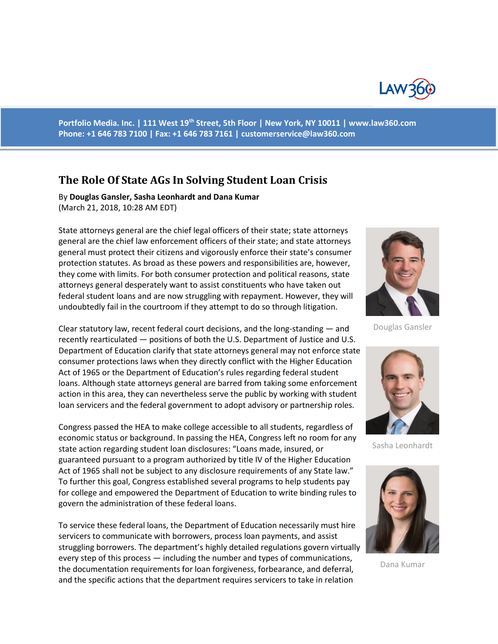

**Portfolio Media. Inc. | 111 West 19th Street, 5th Floor | New York, NY 10011 | www.law360.com Phone: +1 646 783 7100 | Fax: +1 646 783 7161 | [customerservice@law360.com](mailto:customerservice@law360.com)**

## **The Role Of State AGs In Solving Student Loan Crisis**

By **Douglas Gansler, Sasha Leonhardt and Dana Kumar** (March 21, 2018, 10:28 AM EDT)

State attorneys general are the chief legal officers of their state; state attorneys general are the chief law enforcement officers of their state; and state attorneys general must protect their citizens and vigorously enforce their state's consumer protection statutes. As broad as these powers and responsibilities are, however, they come with limits. For both consumer protection and political reasons, state attorneys general desperately want to assist constituents who have taken out federal student loans and are now struggling with repayment. However, they will undoubtedly fail in the courtroom if they attempt to do so through litigation.

Clear statutory law, recent federal court decisions, and the long-standing — and recently rearticulated — positions of both the U.S. Department of Justice and U.S. Department of Education clarify that state attorneys general may not enforce state consumer protections laws when they directly conflict with the Higher Education Act of 1965 or the Department of Education's rules regarding federal student loans. Although state attorneys general are barred from taking some enforcement action in this area, they can nevertheless serve the public by working with student loan servicers and the federal government to adopt advisory or partnership roles.

Congress passed the HEA to make college accessible to all students, regardless of economic status or background. In passing the HEA, Congress left no room for any state action regarding student loan disclosures: "Loans made, insured, or guaranteed pursuant to a program authorized by title IV of the Higher Education Act of 1965 shall not be subject to any disclosure requirements of any State law." To further this goal, Congress established several programs to help students pay for college and empowered the Department of Education to write binding rules to govern the administration of these federal loans.

To service these federal loans, the Department of Education necessarily must hire servicers to communicate with borrowers, process loan payments, and assist struggling borrowers. The department's highly detailed regulations govern virtually every step of this process — including the number and types of communications, the documentation requirements for loan forgiveness, forbearance, and deferral, and the specific actions that the department requires servicers to take in relation



Douglas Gansler



Sasha Leonhardt



Dana Kumar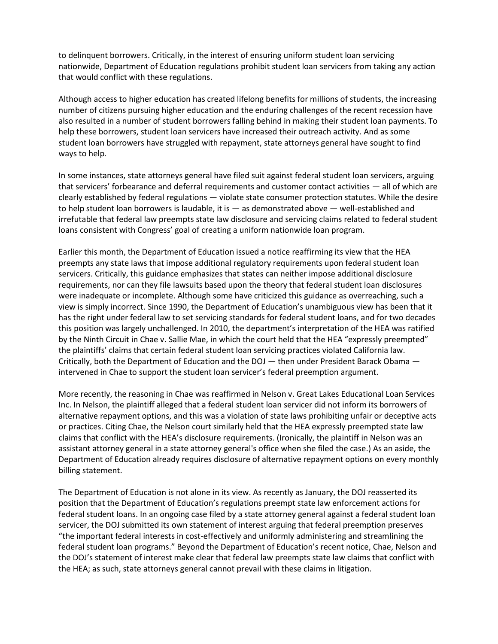to delinquent borrowers. Critically, in the interest of ensuring uniform student loan servicing nationwide, Department of Education regulations prohibit student loan servicers from taking any action that would conflict with these regulations.

Although access to higher education has created lifelong benefits for millions of students, the increasing number of citizens pursuing higher education and the enduring challenges of the recent recession have also resulted in a number of student borrowers falling behind in making their student loan payments. To help these borrowers, student loan servicers have increased their outreach activity. And as some student loan borrowers have struggled with repayment, state attorneys general have sought to find ways to help.

In some instances, state attorneys general have filed suit against federal student loan servicers, arguing that servicers' forbearance and deferral requirements and customer contact activities — all of which are clearly established by federal regulations — violate state consumer protection statutes. While the desire to help student loan borrowers is laudable, it is — as demonstrated above — well-established and irrefutable that federal law preempts state law disclosure and servicing claims related to federal student loans consistent with Congress' goal of creating a uniform nationwide loan program.

Earlier this month, the Department of Education issued a notice reaffirming its view that the HEA preempts any state laws that impose additional regulatory requirements upon federal student loan servicers. Critically, this guidance emphasizes that states can neither impose additional disclosure requirements, nor can they file lawsuits based upon the theory that federal student loan disclosures were inadequate or incomplete. Although some have criticized this guidance as overreaching, such a view is simply incorrect. Since 1990, the Department of Education's unambiguous view has been that it has the right under federal law to set servicing standards for federal student loans, and for two decades this position was largely unchallenged. In 2010, the department's interpretation of the HEA was ratified by the Ninth Circuit in Chae v. Sallie Mae, in which the court held that the HEA "expressly preempted" the plaintiffs' claims that certain federal student loan servicing practices violated California law. Critically, both the Department of Education and the DOJ — then under President Barack Obama intervened in Chae to support the student loan servicer's federal preemption argument.

More recently, the reasoning in Chae was reaffirmed in Nelson v. Great Lakes Educational Loan Services Inc. In Nelson, the plaintiff alleged that a federal student loan servicer did not inform its borrowers of alternative repayment options, and this was a violation of state laws prohibiting unfair or deceptive acts or practices. Citing Chae, the Nelson court similarly held that the HEA expressly preempted state law claims that conflict with the HEA's disclosure requirements. (Ironically, the plaintiff in Nelson was an assistant attorney general in a state attorney general's office when she filed the case.) As an aside, the Department of Education already requires disclosure of alternative repayment options on every monthly billing statement.

The Department of Education is not alone in its view. As recently as January, the DOJ reasserted its position that the Department of Education's regulations preempt state law enforcement actions for federal student loans. In an ongoing case filed by a state attorney general against a federal student loan servicer, the DOJ submitted its own statement of interest arguing that federal preemption preserves "the important federal interests in cost-effectively and uniformly administering and streamlining the federal student loan programs." Beyond the Department of Education's recent notice, Chae, Nelson and the DOJ's statement of interest make clear that federal law preempts state law claims that conflict with the HEA; as such, state attorneys general cannot prevail with these claims in litigation.